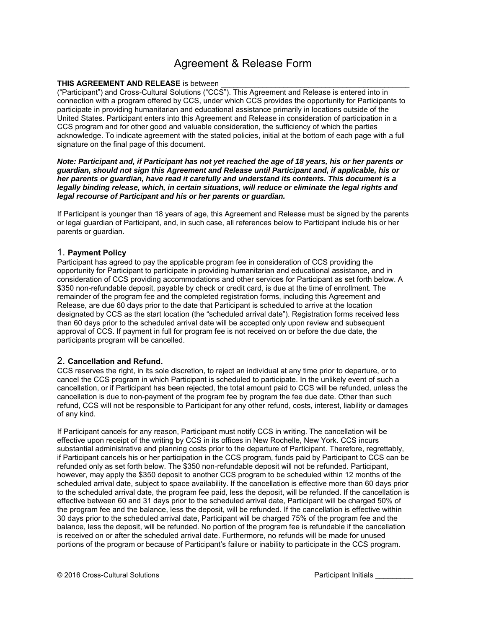# Agreement & Release Form

### **THIS AGREEMENT AND RELEASE** is between

("Participant") and Cross-Cultural Solutions ("CCS"). This Agreement and Release is entered into in connection with a program offered by CCS, under which CCS provides the opportunity for Participants to participate in providing humanitarian and educational assistance primarily in locations outside of the United States. Participant enters into this Agreement and Release in consideration of participation in a CCS program and for other good and valuable consideration, the sufficiency of which the parties acknowledge. To indicate agreement with the stated policies, initial at the bottom of each page with a full signature on the final page of this document.

*Note: Participant and, if Participant has not yet reached the age of 18 years, his or her parents or guardian, should not sign this Agreement and Release until Participant and, if applicable, his or her parents or guardian, have read it carefully and understand its contents. This document is a*  legally binding release, which, in certain situations, will reduce or eliminate the legal rights and *legal recourse of Participant and his or her parents or guardian.* 

If Participant is younger than 18 years of age, this Agreement and Release must be signed by the parents or legal guardian of Participant, and, in such case, all references below to Participant include his or her parents or guardian.

# 1. **Payment Policy**

Participant has agreed to pay the applicable program fee in consideration of CCS providing the opportunity for Participant to participate in providing humanitarian and educational assistance, and in consideration of CCS providing accommodations and other services for Participant as set forth below. A \$350 non-refundable deposit, payable by check or credit card, is due at the time of enrollment. The remainder of the program fee and the completed registration forms, including this Agreement and Release, are due 60 days prior to the date that Participant is scheduled to arrive at the location designated by CCS as the start location (the "scheduled arrival date"). Registration forms received less than 60 days prior to the scheduled arrival date will be accepted only upon review and subsequent approval of CCS. If payment in full for program fee is not received on or before the due date, the participants program will be cancelled.

# 2. **Cancellation and Refund.**

CCS reserves the right, in its sole discretion, to reject an individual at any time prior to departure, or to cancel the CCS program in which Participant is scheduled to participate. In the unlikely event of such a cancellation, or if Participant has been rejected, the total amount paid to CCS will be refunded, unless the cancellation is due to non-payment of the program fee by program the fee due date. Other than such refund, CCS will not be responsible to Participant for any other refund, costs, interest, liability or damages of any kind.

If Participant cancels for any reason, Participant must notify CCS in writing. The cancellation will be effective upon receipt of the writing by CCS in its offices in New Rochelle, New York. CCS incurs substantial administrative and planning costs prior to the departure of Participant. Therefore, regrettably, if Participant cancels his or her participation in the CCS program, funds paid by Participant to CCS can be refunded only as set forth below. The \$350 non-refundable deposit will not be refunded. Participant, however, may apply the \$350 deposit to another CCS program to be scheduled within 12 months of the scheduled arrival date, subject to space availability. If the cancellation is effective more than 60 days prior to the scheduled arrival date, the program fee paid, less the deposit, will be refunded. If the cancellation is effective between 60 and 31 days prior to the scheduled arrival date, Participant will be charged 50% of the program fee and the balance, less the deposit, will be refunded. If the cancellation is effective within 30 days prior to the scheduled arrival date, Participant will be charged 75% of the program fee and the balance, less the deposit, will be refunded. No portion of the program fee is refundable if the cancellation is received on or after the scheduled arrival date. Furthermore, no refunds will be made for unused portions of the program or because of Participant's failure or inability to participate in the CCS program.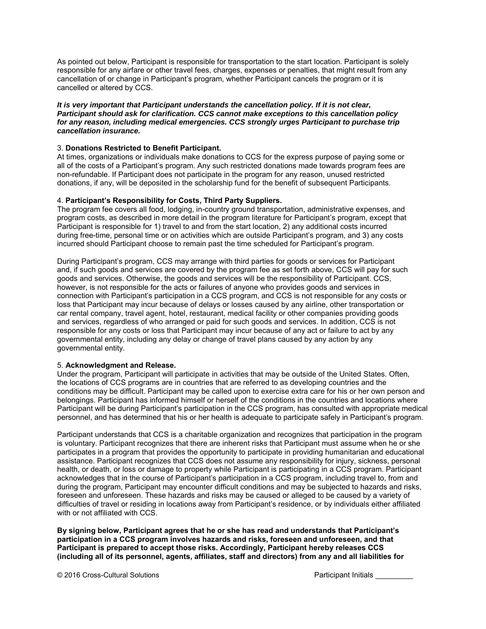As pointed out below, Participant is responsible for transportation to the start location. Participant is solely responsible for any airfare or other travel fees, charges, expenses or penalties, that might result from any cancellation of or change in Participant's program, whether Participant cancels the program or it is cancelled or altered by CCS.

#### *It is very important that Participant understands the cancellation policy. If it is not clear, Participant should ask for clarification. CCS cannot make exceptions to this cancellation policy for any reason, including medical emergencies. CCS strongly urges Participant to purchase trip cancellation insurance.*

## 3. **Donations Restricted to Benefit Participant.**

At times, organizations or individuals make donations to CCS for the express purpose of paying some or all of the costs of a Participant's program. Any such restricted donations made towards program fees are non-refundable. If Participant does not participate in the program for any reason, unused restricted donations, if any, will be deposited in the scholarship fund for the benefit of subsequent Participants.

### 4. **Participant's Responsibility for Costs, Third Party Suppliers.**

The program fee covers all food, lodging, in-country ground transportation, administrative expenses, and program costs, as described in more detail in the program literature for Participant's program, except that Participant is responsible for 1) travel to and from the start location, 2) any additional costs incurred during free-time, personal time or on activities which are outside Participant's program, and 3) any costs incurred should Participant choose to remain past the time scheduled for Participant's program.

During Participant's program, CCS may arrange with third parties for goods or services for Participant and, if such goods and services are covered by the program fee as set forth above, CCS will pay for such goods and services. Otherwise, the goods and services will be the responsibility of Participant. CCS, however, is not responsible for the acts or failures of anyone who provides goods and services in connection with Participant's participation in a CCS program, and CCS is not responsible for any costs or loss that Participant may incur because of delays or losses caused by any airline, other transportation or car rental company, travel agent, hotel, restaurant, medical facility or other companies providing goods and services, regardless of who arranged or paid for such goods and services. In addition, CCS is not responsible for any costs or loss that Participant may incur because of any act or failure to act by any governmental entity, including any delay or change of travel plans caused by any action by any governmental entity.

#### 5. **Acknowledgment and Release.**

Under the program, Participant will participate in activities that may be outside of the United States. Often, the locations of CCS programs are in countries that are referred to as developing countries and the conditions may be difficult. Participant may be called upon to exercise extra care for his or her own person and belongings. Participant has informed himself or herself of the conditions in the countries and locations where Participant will be during Participant's participation in the CCS program, has consulted with appropriate medical personnel, and has determined that his or her health is adequate to participate safely in Participant's program.

Participant understands that CCS is a charitable organization and recognizes that participation in the program is voluntary. Participant recognizes that there are inherent risks that Participant must assume when he or she participates in a program that provides the opportunity to participate in providing humanitarian and educational assistance. Participant recognizes that CCS does not assume any responsibility for injury, sickness, personal health, or death, or loss or damage to property while Participant is participating in a CCS program. Participant acknowledges that in the course of Participant's participation in a CCS program, including travel to, from and during the program, Participant may encounter difficult conditions and may be subjected to hazards and risks, foreseen and unforeseen. These hazards and risks may be caused or alleged to be caused by a variety of difficulties of travel or residing in locations away from Participant's residence, or by individuals either affiliated with or not affiliated with CCS.

**By signing below, Participant agrees that he or she has read and understands that Participant's participation in a CCS program involves hazards and risks, foreseen and unforeseen, and that Participant is prepared to accept those risks. Accordingly, Participant hereby releases CCS (including all of its personnel, agents, affiliates, staff and directors) from any and all liabilities for**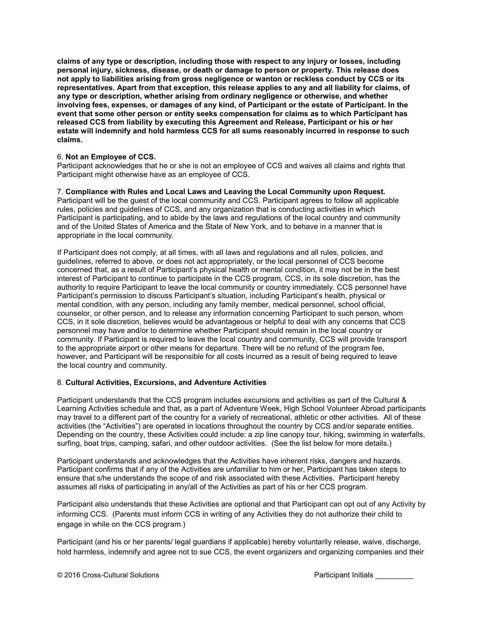**claims of any type or description, including those with respect to any injury or losses, including personal injury, sickness, disease, or death or damage to person or property. This release does not apply to liabilities arising from gross negligence or wanton or reckless conduct by CCS or its representatives. Apart from that exception, this release applies to any and all liability for claims, of any type or description, whether arising from ordinary negligence or otherwise, and whether involving fees, expenses, or damages of any kind, of Participant or the estate of Participant. In the event that some other person or entity seeks compensation for claims as to which Participant has released CCS from liability by executing this Agreement and Release, Participant or his or her estate will indemnify and hold harmless CCS for all sums reasonably incurred in response to such claims.** 

## 6. **Not an Employee of CCS.**

Participant acknowledges that he or she is not an employee of CCS and waives all claims and rights that Participant might otherwise have as an employee of CCS.

### 7. **Compliance with Rules and Local Laws and Leaving the Local Community upon Request.**

Participant will be the guest of the local community and CCS. Participant agrees to follow all applicable rules, policies and guidelines of CCS, and any organization that is conducting activities in which Participant is participating, and to abide by the laws and regulations of the local country and community and of the United States of America and the State of New York, and to behave in a manner that is appropriate in the local community.

If Participant does not comply, at all times, with all laws and regulations and all rules, policies, and guidelines, referred to above, or does not act appropriately, or the local personnel of CCS become concerned that, as a result of Participant's physical health or mental condition, it may not be in the best interest of Participant to continue to participate in the CCS program, CCS, in its sole discretion, has the authority to require Participant to leave the local community or country immediately. CCS personnel have Participant's permission to discuss Participant's situation, including Participant's health, physical or mental condition, with any person, including any family member, medical personnel, school official, counselor, or other person, and to release any information concerning Participant to such person, whom CCS, in it sole discretion, believes would be advantageous or helpful to deal with any concerns that CCS personnel may have and/or to determine whether Participant should remain in the local country or community. If Participant is required to leave the local country and community, CCS will provide transport to the appropriate airport or other means for departure. There will be no refund of the program fee, however, and Participant will be responsible for all costs incurred as a result of being required to leave the local country and community.

#### 8. **Cultural Activities, Excursions, and Adventure Activities**

Participant understands that the CCS program includes excursions and activities as part of the Cultural & Learning Activities schedule and that, as a part of Adventure Week, High School Volunteer Abroad participants may travel to a different part of the country for a variety of recreational, athletic or other activities. All of these activities (the "Activities") are operated in locations throughout the country by CCS and/or separate entities. Depending on the country, these Activities could include: a zip line canopy tour, hiking, swimming in waterfalls, surfing, boat trips, camping, safari, and other outdoor activities. (See the list below for more details.)

Participant understands and acknowledges that the Activities have inherent risks, dangers and hazards. Participant confirms that if any of the Activities are unfamiliar to him or her, Participant has taken steps to ensure that s/he understands the scope of and risk associated with these Activities. Participant hereby assumes all risks of participating in any/all of the Activities as part of his or her CCS program.

Participant also understands that these Activities are optional and that Participant can opt out of any Activity by informing CCS. (Parents must inform CCS in writing of any Activities they do not authorize their child to engage in while on the CCS program.)

Participant (and his or her parents/ legal guardians if applicable) hereby voluntarily release, waive, discharge, hold harmless, indemnify and agree not to sue CCS, the event organizers and organizing companies and their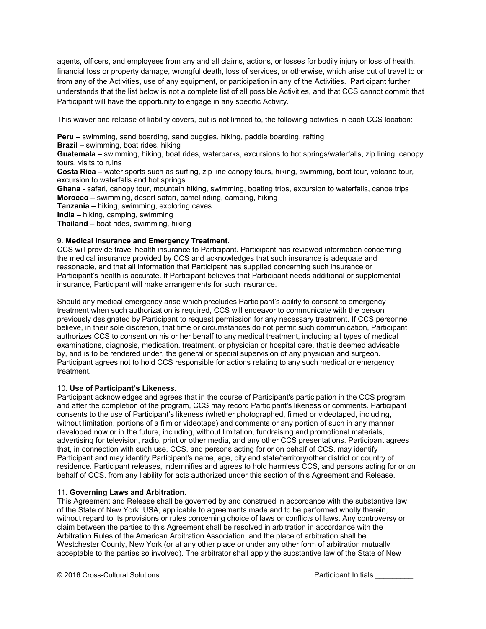agents, officers, and employees from any and all claims, actions, or losses for bodily injury or loss of health, financial loss or property damage, wrongful death, loss of services, or otherwise, which arise out of travel to or from any of the Activities, use of any equipment, or participation in any of the Activities. Participant further understands that the list below is not a complete list of all possible Activities, and that CCS cannot commit that Participant will have the opportunity to engage in any specific Activity.

This waiver and release of liability covers, but is not limited to, the following activities in each CCS location:

**Peru –** swimming, sand boarding, sand buggies, hiking, paddle boarding, rafting **Brazil –** swimming, boat rides, hiking **Guatemala –** swimming, hiking, boat rides, waterparks, excursions to hot springs/waterfalls, zip lining, canopy tours, visits to ruins **Costa Rica –** water sports such as surfing, zip line canopy tours, hiking, swimming, boat tour, volcano tour, excursion to waterfalls and hot springs **Ghana** - safari, canopy tour, mountain hiking, swimming, boating trips, excursion to waterfalls, canoe trips **Morocco –** swimming, desert safari, camel riding, camping, hiking **Tanzania –** hiking, swimming, exploring caves **India –** hiking, camping, swimming **Thailand –** boat rides, swimming, hiking

# 9. **Medical Insurance and Emergency Treatment.**

CCS will provide travel health insurance to Participant. Participant has reviewed information concerning the medical insurance provided by CCS and acknowledges that such insurance is adequate and reasonable, and that all information that Participant has supplied concerning such insurance or Participant's health is accurate. If Participant believes that Participant needs additional or supplemental insurance, Participant will make arrangements for such insurance.

Should any medical emergency arise which precludes Participant's ability to consent to emergency treatment when such authorization is required, CCS will endeavor to communicate with the person previously designated by Participant to request permission for any necessary treatment. If CCS personnel believe, in their sole discretion, that time or circumstances do not permit such communication, Participant authorizes CCS to consent on his or her behalf to any medical treatment, including all types of medical examinations, diagnosis, medication, treatment, or physician or hospital care, that is deemed advisable by, and is to be rendered under, the general or special supervision of any physician and surgeon. Participant agrees not to hold CCS responsible for actions relating to any such medical or emergency treatment.

# 10**. Use of Participant's Likeness.**

Participant acknowledges and agrees that in the course of Participant's participation in the CCS program and after the completion of the program, CCS may record Participant's likeness or comments. Participant consents to the use of Participant's likeness (whether photographed, filmed or videotaped, including, without limitation, portions of a film or videotape) and comments or any portion of such in any manner developed now or in the future, including, without limitation, fundraising and promotional materials, advertising for television, radio, print or other media, and any other CCS presentations. Participant agrees that, in connection with such use, CCS, and persons acting for or on behalf of CCS, may identify Participant and may identify Participant's name, age, city and state/territory/other district or country of residence. Participant releases, indemnifies and agrees to hold harmless CCS, and persons acting for or on behalf of CCS, from any liability for acts authorized under this section of this Agreement and Release.

# 11. **Governing Laws and Arbitration.**

This Agreement and Release shall be governed by and construed in accordance with the substantive law of the State of New York, USA, applicable to agreements made and to be performed wholly therein, without regard to its provisions or rules concerning choice of laws or conflicts of laws. Any controversy or claim between the parties to this Agreement shall be resolved in arbitration in accordance with the Arbitration Rules of the American Arbitration Association, and the place of arbitration shall be Westchester County, New York (or at any other place or under any other form of arbitration mutually acceptable to the parties so involved). The arbitrator shall apply the substantive law of the State of New